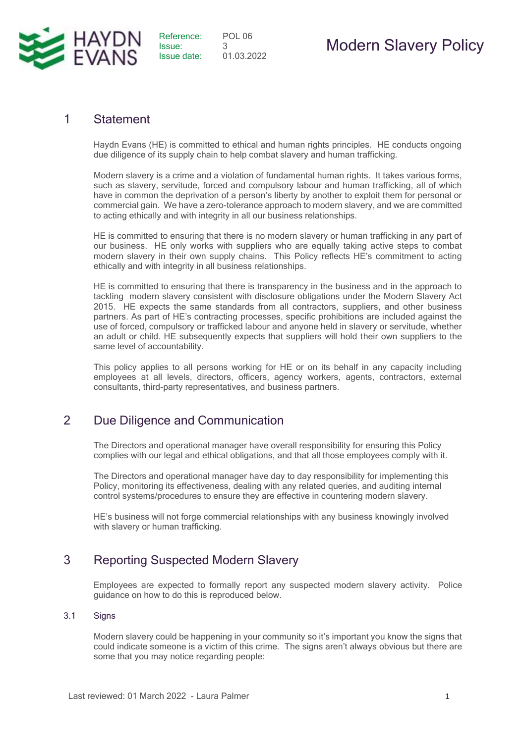

Reference: POL 06 Issue: 3

### 1 Statement

Haydn Evans (HE) is committed to ethical and human rights principles. HE conducts ongoing due diligence of its supply chain to help combat slavery and human trafficking.

Modern slavery is a crime and a violation of fundamental human rights. It takes various forms, such as slavery, servitude, forced and compulsory labour and human trafficking, all of which have in common the deprivation of a person's liberty by another to exploit them for personal or commercial gain. We have a zero-tolerance approach to modern slavery, and we are committed to acting ethically and with integrity in all our business relationships.

HE is committed to ensuring that there is no modern slavery or human trafficking in any part of our business. HE only works with suppliers who are equally taking active steps to combat modern slavery in their own supply chains. This Policy reflects HE's commitment to acting ethically and with integrity in all business relationships.

HE is committed to ensuring that there is transparency in the business and in the approach to tackling modern slavery consistent with disclosure obligations under the Modern Slavery Act 2015. HE expects the same standards from all contractors, suppliers, and other business partners. As part of HE's contracting processes, specific prohibitions are included against the use of forced, compulsory or trafficked labour and anyone held in slavery or servitude, whether an adult or child. HE subsequently expects that suppliers will hold their own suppliers to the same level of accountability.

This policy applies to all persons working for HE or on its behalf in any capacity including employees at all levels, directors, officers, agency workers, agents, contractors, external consultants, third-party representatives, and business partners.

# 2 Due Diligence and Communication

The Directors and operational manager have overall responsibility for ensuring this Policy complies with our legal and ethical obligations, and that all those employees comply with it.

The Directors and operational manager have day to day responsibility for implementing this Policy, monitoring its effectiveness, dealing with any related queries, and auditing internal control systems/procedures to ensure they are effective in countering modern slavery.

HE's business will not forge commercial relationships with any business knowingly involved with slavery or human trafficking.

## 3 Reporting Suspected Modern Slavery

Employees are expected to formally report any suspected modern slavery activity. Police guidance on how to do this is reproduced below.

### 3.1 Signs

Modern slavery could be happening in your community so it's important you know the signs that could indicate someone is a victim of this crime. The signs aren't always obvious but there are some that you may notice regarding people: